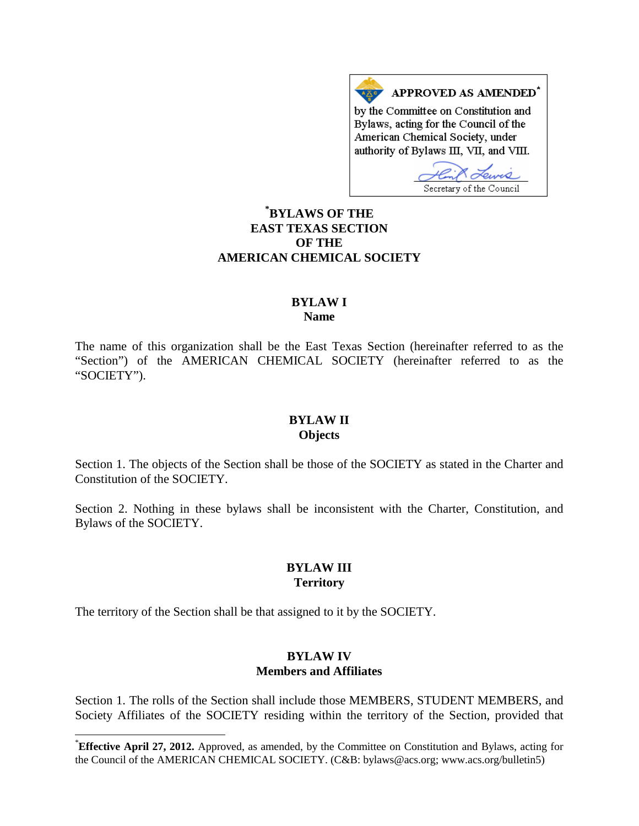APPROVED AS AMENDED\* by the Committee on Constitution and Bylaws, acting for the Council of the American Chemical Society, under authority of Bylaws III, VII, and VIII.

Secretary of the Council

# **[\\*](#page-0-0) BYLAWS OF THE EAST TEXAS SECTION OF THE AMERICAN CHEMICAL SOCIETY**

### **BYLAW I Name**

The name of this organization shall be the East Texas Section (hereinafter referred to as the "Section") of the AMERICAN CHEMICAL SOCIETY (hereinafter referred to as the "SOCIETY").

#### **BYLAW II Objects**

Section 1. The objects of the Section shall be those of the SOCIETY as stated in the Charter and Constitution of the SOCIETY.

Section 2. Nothing in these bylaws shall be inconsistent with the Charter, Constitution, and Bylaws of the SOCIETY.

## **BYLAW III Territory**

The territory of the Section shall be that assigned to it by the SOCIETY.

### **BYLAW IV Members and Affiliates**

Section 1. The rolls of the Section shall include those MEMBERS, STUDENT MEMBERS, and Society Affiliates of the SOCIETY residing within the territory of the Section, provided that

<span id="page-0-0"></span>**Effective April 27, 2012.** Approved, as amended, by the Committee on Constitution and Bylaws, acting for the Council of the AMERICAN CHEMICAL SOCIETY. (C&B: bylaws@acs.org; www.acs.org/bulletin5)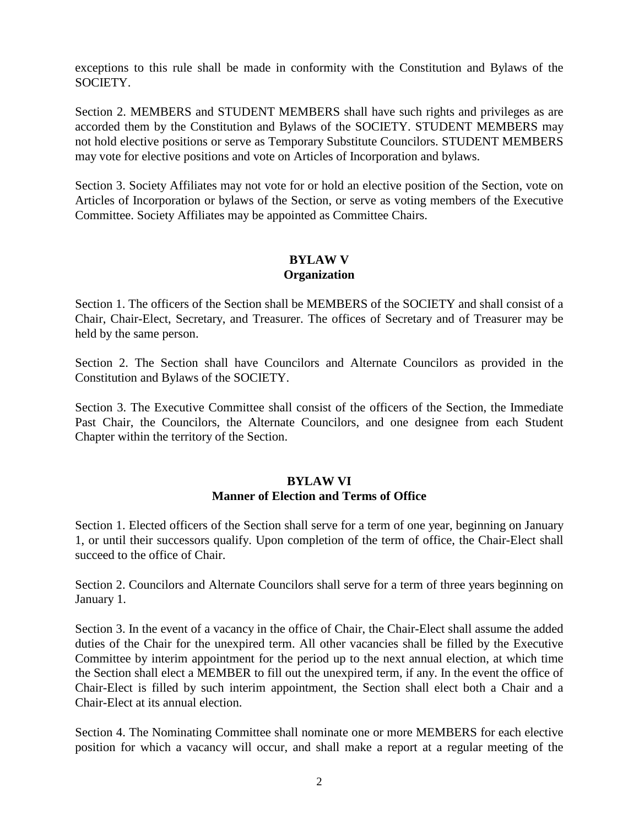exceptions to this rule shall be made in conformity with the Constitution and Bylaws of the SOCIETY.

Section 2. MEMBERS and STUDENT MEMBERS shall have such rights and privileges as are accorded them by the Constitution and Bylaws of the SOCIETY. STUDENT MEMBERS may not hold elective positions or serve as Temporary Substitute Councilors. STUDENT MEMBERS may vote for elective positions and vote on Articles of Incorporation and bylaws.

Section 3. Society Affiliates may not vote for or hold an elective position of the Section, vote on Articles of Incorporation or bylaws of the Section, or serve as voting members of the Executive Committee. Society Affiliates may be appointed as Committee Chairs.

### **BYLAW V Organization**

Section 1. The officers of the Section shall be MEMBERS of the SOCIETY and shall consist of a Chair, Chair-Elect, Secretary, and Treasurer. The offices of Secretary and of Treasurer may be held by the same person.

Section 2. The Section shall have Councilors and Alternate Councilors as provided in the Constitution and Bylaws of the SOCIETY.

Section 3. The Executive Committee shall consist of the officers of the Section, the Immediate Past Chair, the Councilors, the Alternate Councilors, and one designee from each Student Chapter within the territory of the Section.

# **BYLAW VI Manner of Election and Terms of Office**

Section 1. Elected officers of the Section shall serve for a term of one year, beginning on January 1, or until their successors qualify. Upon completion of the term of office, the Chair-Elect shall succeed to the office of Chair.

Section 2. Councilors and Alternate Councilors shall serve for a term of three years beginning on January 1.

Section 3. In the event of a vacancy in the office of Chair, the Chair-Elect shall assume the added duties of the Chair for the unexpired term. All other vacancies shall be filled by the Executive Committee by interim appointment for the period up to the next annual election, at which time the Section shall elect a MEMBER to fill out the unexpired term, if any. In the event the office of Chair-Elect is filled by such interim appointment, the Section shall elect both a Chair and a Chair-Elect at its annual election.

Section 4. The Nominating Committee shall nominate one or more MEMBERS for each elective position for which a vacancy will occur, and shall make a report at a regular meeting of the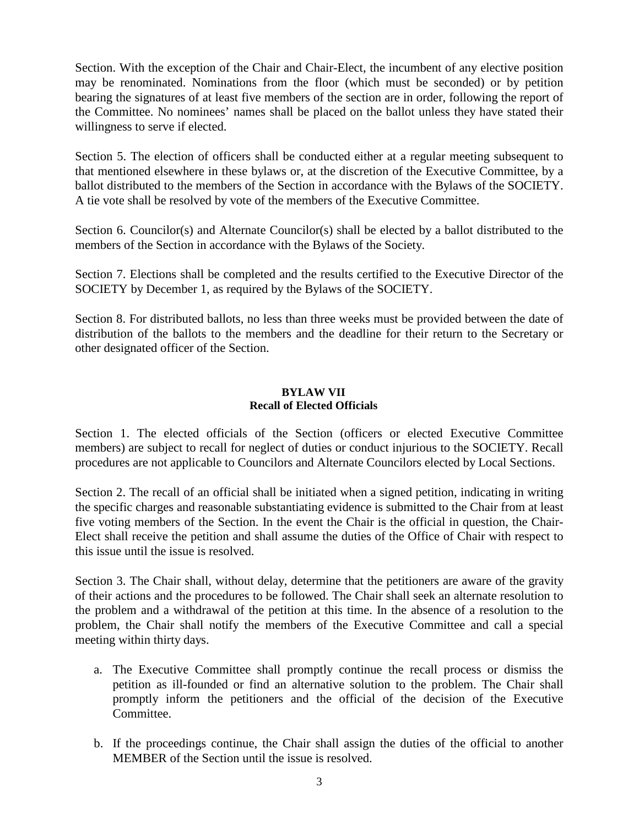Section. With the exception of the Chair and Chair-Elect, the incumbent of any elective position may be renominated. Nominations from the floor (which must be seconded) or by petition bearing the signatures of at least five members of the section are in order, following the report of the Committee. No nominees' names shall be placed on the ballot unless they have stated their willingness to serve if elected.

Section 5. The election of officers shall be conducted either at a regular meeting subsequent to that mentioned elsewhere in these bylaws or, at the discretion of the Executive Committee, by a ballot distributed to the members of the Section in accordance with the Bylaws of the SOCIETY. A tie vote shall be resolved by vote of the members of the Executive Committee.

Section 6. Councilor(s) and Alternate Councilor(s) shall be elected by a ballot distributed to the members of the Section in accordance with the Bylaws of the Society.

Section 7. Elections shall be completed and the results certified to the Executive Director of the SOCIETY by December 1, as required by the Bylaws of the SOCIETY.

Section 8. For distributed ballots, no less than three weeks must be provided between the date of distribution of the ballots to the members and the deadline for their return to the Secretary or other designated officer of the Section.

#### **BYLAW VII Recall of Elected Officials**

Section 1. The elected officials of the Section (officers or elected Executive Committee members) are subject to recall for neglect of duties or conduct injurious to the SOCIETY. Recall procedures are not applicable to Councilors and Alternate Councilors elected by Local Sections.

Section 2. The recall of an official shall be initiated when a signed petition, indicating in writing the specific charges and reasonable substantiating evidence is submitted to the Chair from at least five voting members of the Section. In the event the Chair is the official in question, the Chair-Elect shall receive the petition and shall assume the duties of the Office of Chair with respect to this issue until the issue is resolved.

Section 3. The Chair shall, without delay, determine that the petitioners are aware of the gravity of their actions and the procedures to be followed. The Chair shall seek an alternate resolution to the problem and a withdrawal of the petition at this time. In the absence of a resolution to the problem, the Chair shall notify the members of the Executive Committee and call a special meeting within thirty days.

- a. The Executive Committee shall promptly continue the recall process or dismiss the petition as ill-founded or find an alternative solution to the problem. The Chair shall promptly inform the petitioners and the official of the decision of the Executive Committee.
- b. If the proceedings continue, the Chair shall assign the duties of the official to another MEMBER of the Section until the issue is resolved.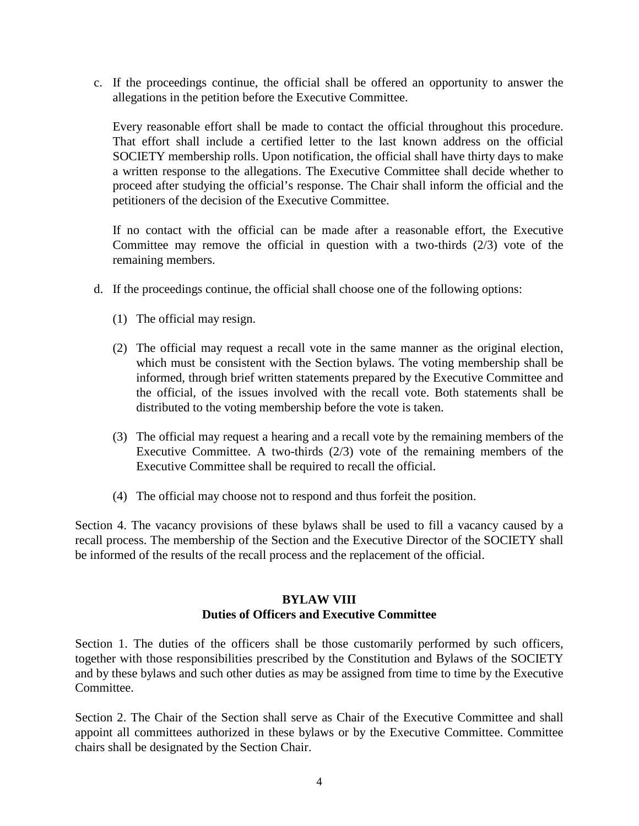c. If the proceedings continue, the official shall be offered an opportunity to answer the allegations in the petition before the Executive Committee.

Every reasonable effort shall be made to contact the official throughout this procedure. That effort shall include a certified letter to the last known address on the official SOCIETY membership rolls. Upon notification, the official shall have thirty days to make a written response to the allegations. The Executive Committee shall decide whether to proceed after studying the official's response. The Chair shall inform the official and the petitioners of the decision of the Executive Committee.

If no contact with the official can be made after a reasonable effort, the Executive Committee may remove the official in question with a two-thirds (2/3) vote of the remaining members.

- d. If the proceedings continue, the official shall choose one of the following options:
	- (1) The official may resign.
	- (2) The official may request a recall vote in the same manner as the original election, which must be consistent with the Section bylaws. The voting membership shall be informed, through brief written statements prepared by the Executive Committee and the official, of the issues involved with the recall vote. Both statements shall be distributed to the voting membership before the vote is taken.
	- (3) The official may request a hearing and a recall vote by the remaining members of the Executive Committee. A two-thirds (2/3) vote of the remaining members of the Executive Committee shall be required to recall the official.
	- (4) The official may choose not to respond and thus forfeit the position.

Section 4. The vacancy provisions of these bylaws shall be used to fill a vacancy caused by a recall process. The membership of the Section and the Executive Director of the SOCIETY shall be informed of the results of the recall process and the replacement of the official.

# **BYLAW VIII Duties of Officers and Executive Committee**

Section 1. The duties of the officers shall be those customarily performed by such officers, together with those responsibilities prescribed by the Constitution and Bylaws of the SOCIETY and by these bylaws and such other duties as may be assigned from time to time by the Executive Committee.

Section 2. The Chair of the Section shall serve as Chair of the Executive Committee and shall appoint all committees authorized in these bylaws or by the Executive Committee. Committee chairs shall be designated by the Section Chair.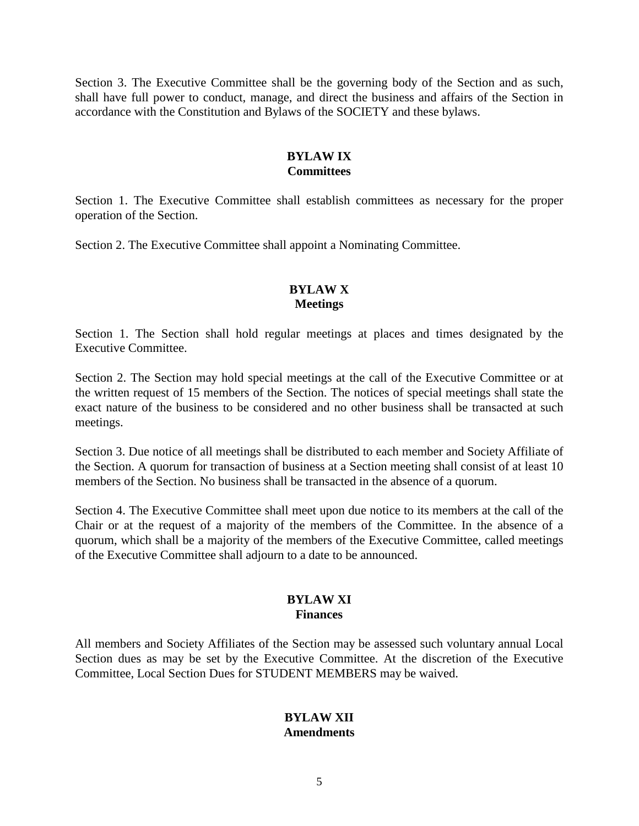Section 3. The Executive Committee shall be the governing body of the Section and as such, shall have full power to conduct, manage, and direct the business and affairs of the Section in accordance with the Constitution and Bylaws of the SOCIETY and these bylaws.

# **BYLAW IX Committees**

Section 1. The Executive Committee shall establish committees as necessary for the proper operation of the Section.

Section 2. The Executive Committee shall appoint a Nominating Committee.

# **BYLAW X Meetings**

Section 1. The Section shall hold regular meetings at places and times designated by the Executive Committee.

Section 2. The Section may hold special meetings at the call of the Executive Committee or at the written request of 15 members of the Section. The notices of special meetings shall state the exact nature of the business to be considered and no other business shall be transacted at such meetings.

Section 3. Due notice of all meetings shall be distributed to each member and Society Affiliate of the Section. A quorum for transaction of business at a Section meeting shall consist of at least 10 members of the Section. No business shall be transacted in the absence of a quorum.

Section 4. The Executive Committee shall meet upon due notice to its members at the call of the Chair or at the request of a majority of the members of the Committee. In the absence of a quorum, which shall be a majority of the members of the Executive Committee, called meetings of the Executive Committee shall adjourn to a date to be announced.

### **BYLAW XI Finances**

All members and Society Affiliates of the Section may be assessed such voluntary annual Local Section dues as may be set by the Executive Committee. At the discretion of the Executive Committee, Local Section Dues for STUDENT MEMBERS may be waived.

### **BYLAW XII Amendments**